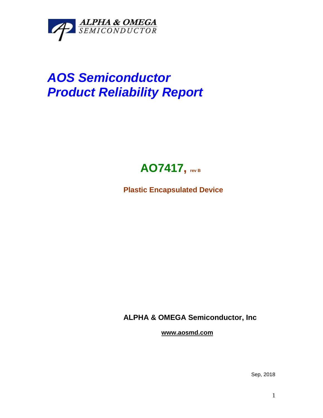

## *AOS Semiconductor Product Reliability Report*



**Plastic Encapsulated Device**

**ALPHA & OMEGA Semiconductor, Inc**

**www.aosmd.com**

Sep, 2018